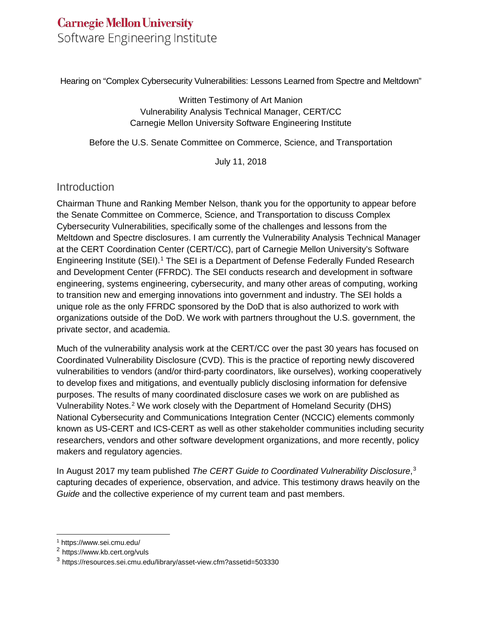# **Carnegie Mellon University** Software Engineering Institute

Hearing on "Complex Cybersecurity Vulnerabilities: Lessons Learned from Spectre and Meltdown"

Written Testimony of Art Manion Vulnerability Analysis Technical Manager, CERT/CC Carnegie Mellon University Software Engineering Institute

Before the U.S. Senate Committee on Commerce, Science, and Transportation

July 11, 2018

## **Introduction**

Chairman Thune and Ranking Member Nelson, thank you for the opportunity to appear before the Senate Committee on Commerce, Science, and Transportation to discuss Complex Cybersecurity Vulnerabilities, specifically some of the challenges and lessons from the Meltdown and Spectre disclosures. I am currently the Vulnerability Analysis Technical Manager at the CERT Coordination Center (CERT/CC), part of Carnegie Mellon University's Software Engineering Institute (SEI).[1](#page-0-0) The SEI is a Department of Defense Federally Funded Research and Development Center (FFRDC). The SEI conducts research and development in software engineering, systems engineering, cybersecurity, and many other areas of computing, working to transition new and emerging innovations into government and industry. The SEI holds a unique role as the only FFRDC sponsored by the DoD that is also authorized to work with organizations outside of the DoD. We work with partners throughout the U.S. government, the private sector, and academia.

Much of the vulnerability analysis work at the CERT/CC over the past 30 years has focused on Coordinated Vulnerability Disclosure (CVD). This is the practice of reporting newly discovered vulnerabilities to vendors (and/or third-party coordinators, like ourselves), working cooperatively to develop fixes and mitigations, and eventually publicly disclosing information for defensive purposes. The results of many coordinated disclosure cases we work on are published as Vulnerability Notes.[2](#page-0-1) We work closely with the Department of Homeland Security (DHS) National Cybersecurity and Communications Integration Center (NCCIC) elements commonly known as US-CERT and ICS-CERT as well as other stakeholder communities including security researchers, vendors and other software development organizations, and more recently, policy makers and regulatory agencies.

In August 2017 my team published *The CERT Guide to Coordinated Vulnerability Disclosure*, [3](#page-0-2) capturing decades of experience, observation, and advice. This testimony draws heavily on the *Guide* and the collective experience of my current team and past members.

<span id="page-0-0"></span> <sup>1</sup> https://www.sei.cmu.edu/

<span id="page-0-1"></span><sup>2</sup> https://www.kb.cert.org/vuls

<span id="page-0-2"></span><sup>3</sup> https://resources.sei.cmu.edu/library/asset-view.cfm?assetid=503330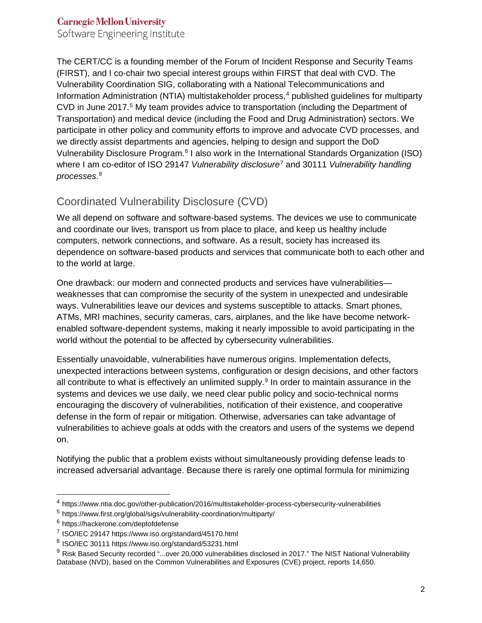Software Engineering Institute

The CERT/CC is a founding member of the Forum of Incident Response and Security Teams (FIRST), and I co-chair two special interest groups within FIRST that deal with CVD. The Vulnerability Coordination SIG, collaborating with a National Telecommunications and Information Administration (NTIA) multistakeholder process, $4$  published guidelines for multiparty CVD in June 2017.[5](#page-1-1) My team provides advice to transportation (including the Department of Transportation) and medical device (including the Food and Drug Administration) sectors. We participate in other policy and community efforts to improve and advocate CVD processes, and we directly assist departments and agencies, helping to design and support the DoD Vulnerability Disclosure Program.[6](#page-1-2) I also work in the International Standards Organization (ISO) where I am co-editor of ISO 29147 *Vulnerability disclosure*[7](#page-1-3) and 30111 *Vulnerability handling processes*. [8](#page-1-4)

## Coordinated Vulnerability Disclosure (CVD)

We all depend on software and software-based systems. The devices we use to communicate and coordinate our lives, transport us from place to place, and keep us healthy include computers, network connections, and software. As a result, society has increased its dependence on software-based products and services that communicate both to each other and to the world at large.

One drawback: our modern and connected products and services have vulnerabilities weaknesses that can compromise the security of the system in unexpected and undesirable ways. Vulnerabilities leave our devices and systems susceptible to attacks. Smart phones, ATMs, MRI machines, security cameras, cars, airplanes, and the like have become networkenabled software-dependent systems, making it nearly impossible to avoid participating in the world without the potential to be affected by cybersecurity vulnerabilities.

Essentially unavoidable, vulnerabilities have numerous origins. Implementation defects, unexpected interactions between systems, configuration or design decisions, and other factors all contribute to what is effectively an unlimited supply.<sup>[9](#page-1-5)</sup> In order to maintain assurance in the systems and devices we use daily, we need clear public policy and socio-technical norms encouraging the discovery of vulnerabilities, notification of their existence, and cooperative defense in the form of repair or mitigation. Otherwise, adversaries can take advantage of vulnerabilities to achieve goals at odds with the creators and users of the systems we depend on.

Notifying the public that a problem exists without simultaneously providing defense leads to increased adversarial advantage. Because there is rarely one optimal formula for minimizing

<span id="page-1-0"></span> <sup>4</sup> https://www.ntia.doc.gov/other-publication/2016/multistakeholder-process-cybersecurity-vulnerabilities

<span id="page-1-1"></span><sup>5</sup> https://www.first.org/global/sigs/vulnerability-coordination/multiparty/

<span id="page-1-2"></span><sup>6</sup> https://hackerone.com/deptofdefense

<span id="page-1-3"></span><sup>7</sup> ISO/IEC 29147 https://www.iso.org/standard/45170.html

<span id="page-1-4"></span><sup>8</sup> ISO/IEC 30111 https://www.iso.org/standard/53231.html

<span id="page-1-5"></span><sup>&</sup>lt;sup>9</sup> Risk Based Security recorded "...over 20,000 vulnerabilities disclosed in 2017." The NIST National Vulnerability Database (NVD), based on the Common Vulnerabilities and Exposures (CVE) project, reports 14,650.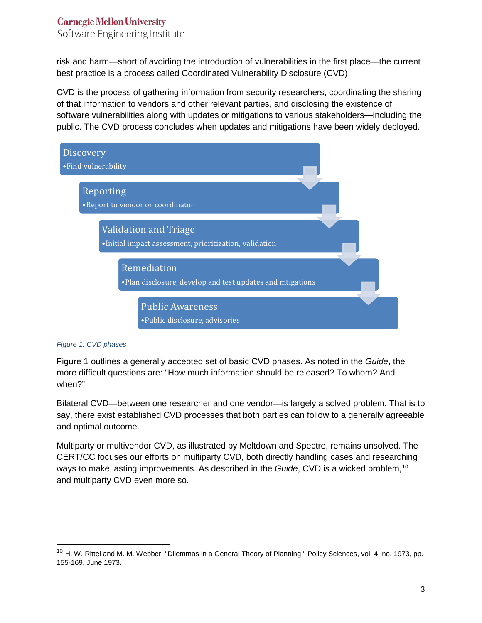Software Engineering Institute

risk and harm—short of avoiding the introduction of vulnerabilities in the first place—the current best practice is a process called Coordinated Vulnerability Disclosure (CVD).

CVD is the process of gathering information from security researchers, coordinating the sharing of that information to vendors and other relevant parties, and disclosing the existence of software vulnerabilities along with updates or mitigations to various stakeholders—including the public. The CVD process concludes when updates and mitigations have been widely deployed.



#### *Figure 1: CVD phases*

Figure 1 outlines a generally accepted set of basic CVD phases. As noted in the *Guide*, the more difficult questions are: "How much information should be released? To whom? And when?"

Bilateral CVD—between one researcher and one vendor—is largely a solved problem. That is to say, there exist established CVD processes that both parties can follow to a generally agreeable and optimal outcome.

Multiparty or multivendor CVD, as illustrated by Meltdown and Spectre, remains unsolved. The CERT/CC focuses our efforts on multiparty CVD, both directly handling cases and researching ways to make lasting improvements. As described in the *Guide*, CVD is a wicked problem,[10](#page-2-0) and multiparty CVD even more so.

<span id="page-2-0"></span> $10$  H. W. Rittel and M. M. Webber, "Dilemmas in a General Theory of Planning," Policy Sciences, vol. 4, no. 1973, pp. 155-169, June 1973.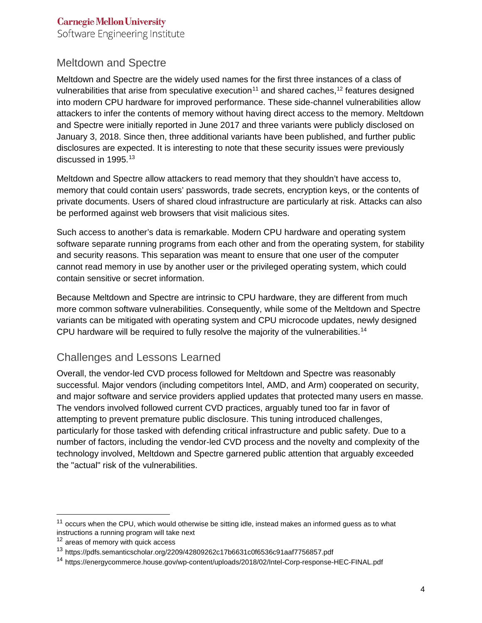Software Engineering Institute

## Meltdown and Spectre

Meltdown and Spectre are the widely used names for the first three instances of a class of vulnerabilities that arise from speculative execution<sup>[11](#page-3-0)</sup> and shared caches,<sup>[12](#page-3-1)</sup> features designed into modern CPU hardware for improved performance. These side-channel vulnerabilities allow attackers to infer the contents of memory without having direct access to the memory. Meltdown and Spectre were initially reported in June 2017 and three variants were publicly disclosed on January 3, 2018. Since then, three additional variants have been published, and further public disclosures are expected. It is interesting to note that these security issues were previously discussed in 1995.<sup>[13](#page-3-2)</sup>

Meltdown and Spectre allow attackers to read memory that they shouldn't have access to, memory that could contain users' passwords, trade secrets, encryption keys, or the contents of private documents. Users of shared cloud infrastructure are particularly at risk. Attacks can also be performed against web browsers that visit malicious sites.

Such access to another's data is remarkable. Modern CPU hardware and operating system software separate running programs from each other and from the operating system, for stability and security reasons. This separation was meant to ensure that one user of the computer cannot read memory in use by another user or the privileged operating system, which could contain sensitive or secret information.

Because Meltdown and Spectre are intrinsic to CPU hardware, they are different from much more common software vulnerabilities. Consequently, while some of the Meltdown and Spectre variants can be mitigated with operating system and CPU microcode updates, newly designed CPU hardware will be required to fully resolve the majority of the vulnerabilities.<sup>[14](#page-3-3)</sup>

## Challenges and Lessons Learned

Overall, the vendor-led CVD process followed for Meltdown and Spectre was reasonably successful. Major vendors (including competitors Intel, AMD, and Arm) cooperated on security, and major software and service providers applied updates that protected many users en masse. The vendors involved followed current CVD practices, arguably tuned too far in favor of attempting to prevent premature public disclosure. This tuning introduced challenges, particularly for those tasked with defending critical infrastructure and public safety. Due to a number of factors, including the vendor-led CVD process and the novelty and complexity of the technology involved, Meltdown and Spectre garnered public attention that arguably exceeded the "actual" risk of the vulnerabilities.

<span id="page-3-0"></span> $11$  occurs when the CPU, which would otherwise be sitting idle, instead makes an informed guess as to what instructions a running program will take next

<span id="page-3-1"></span><sup>&</sup>lt;sup>12</sup> areas of memory with quick access

<span id="page-3-2"></span><sup>13</sup> https://pdfs.semanticscholar.org/2209/42809262c17b6631c0f6536c91aaf7756857.pdf

<span id="page-3-3"></span><sup>14</sup> https://energycommerce.house.gov/wp-content/uploads/2018/02/Intel-Corp-response-HEC-FINAL.pdf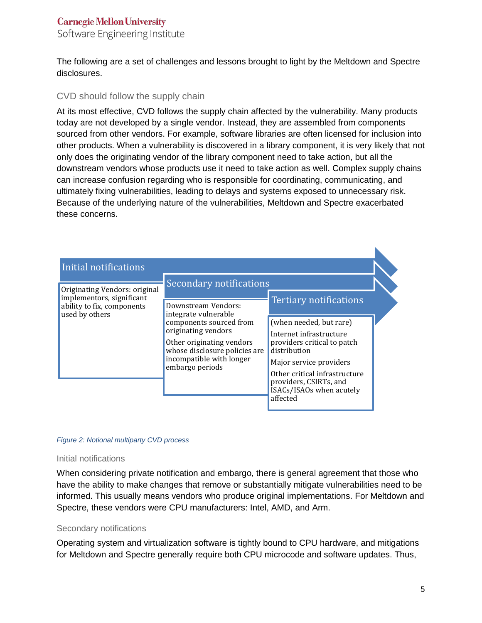Software Engineering Institute

The following are a set of challenges and lessons brought to light by the Meltdown and Spectre disclosures.

#### CVD should follow the supply chain

At its most effective, CVD follows the supply chain affected by the vulnerability. Many products today are not developed by a single vendor. Instead, they are assembled from components sourced from other vendors. For example, software libraries are often licensed for inclusion into other products. When a vulnerability is discovered in a library component, it is very likely that not only does the originating vendor of the library component need to take action, but all the downstream vendors whose products use it need to take action as well. Complex supply chains can increase confusion regarding who is responsible for coordinating, communicating, and ultimately fixing vulnerabilities, leading to delays and systems exposed to unnecessary risk. Because of the underlying nature of the vulnerabilities, Meltdown and Spectre exacerbated these concerns.

| Initial notifications                                      |                                                                                                                                                                                                            |                                                                                                                                                                                                                                 |
|------------------------------------------------------------|------------------------------------------------------------------------------------------------------------------------------------------------------------------------------------------------------------|---------------------------------------------------------------------------------------------------------------------------------------------------------------------------------------------------------------------------------|
| Originating Vendors: original<br>implementors, significant | Secondary notifications                                                                                                                                                                                    | <b>Tertiary notifications</b>                                                                                                                                                                                                   |
| ability to fix, components<br>used by others               | Downstream Vendors:<br>integrate vulnerable<br>components sourced from<br>originating vendors<br>Other originating vendors<br>whose disclosure policies are<br>incompatible with longer<br>embargo periods | (when needed, but rare)<br>Internet infrastructure<br>providers critical to patch<br>distribution<br>Major service providers<br>Other critical infrastructure<br>providers, CSIRTs, and<br>ISACs/ISAOs when acutely<br>affected |

#### *Figure 2: Notional multiparty CVD process*

#### Initial notifications

When considering private notification and embargo, there is general agreement that those who have the ability to make changes that remove or substantially mitigate vulnerabilities need to be informed. This usually means vendors who produce original implementations. For Meltdown and Spectre, these vendors were CPU manufacturers: Intel, AMD, and Arm.

#### Secondary notifications

Operating system and virtualization software is tightly bound to CPU hardware, and mitigations for Meltdown and Spectre generally require both CPU microcode and software updates. Thus,

N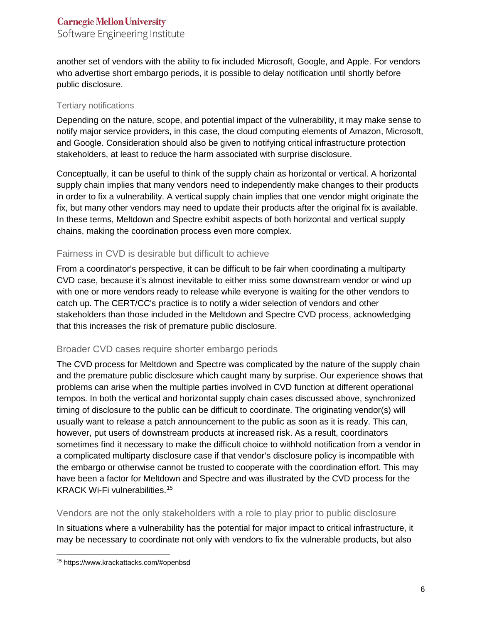Software Engineering Institute

another set of vendors with the ability to fix included Microsoft, Google, and Apple. For vendors who advertise short embargo periods, it is possible to delay notification until shortly before public disclosure.

#### Tertiary notifications

Depending on the nature, scope, and potential impact of the vulnerability, it may make sense to notify major service providers, in this case, the cloud computing elements of Amazon, Microsoft, and Google. Consideration should also be given to notifying critical infrastructure protection stakeholders, at least to reduce the harm associated with surprise disclosure.

Conceptually, it can be useful to think of the supply chain as horizontal or vertical. A horizontal supply chain implies that many vendors need to independently make changes to their products in order to fix a vulnerability. A vertical supply chain implies that one vendor might originate the fix, but many other vendors may need to update their products after the original fix is available. In these terms, Meltdown and Spectre exhibit aspects of both horizontal and vertical supply chains, making the coordination process even more complex.

## Fairness in CVD is desirable but difficult to achieve

From a coordinator's perspective, it can be difficult to be fair when coordinating a multiparty CVD case, because it's almost inevitable to either miss some downstream vendor or wind up with one or more vendors ready to release while everyone is waiting for the other vendors to catch up. The CERT/CC's practice is to notify a wider selection of vendors and other stakeholders than those included in the Meltdown and Spectre CVD process, acknowledging that this increases the risk of premature public disclosure.

#### Broader CVD cases require shorter embargo periods

The CVD process for Meltdown and Spectre was complicated by the nature of the supply chain and the premature public disclosure which caught many by surprise. Our experience shows that problems can arise when the multiple parties involved in CVD function at different operational tempos. In both the vertical and horizontal supply chain cases discussed above, synchronized timing of disclosure to the public can be difficult to coordinate. The originating vendor(s) will usually want to release a patch announcement to the public as soon as it is ready. This can, however, put users of downstream products at increased risk. As a result, coordinators sometimes find it necessary to make the difficult choice to withhold notification from a vendor in a complicated multiparty disclosure case if that vendor's disclosure policy is incompatible with the embargo or otherwise cannot be trusted to cooperate with the coordination effort. This may have been a factor for Meltdown and Spectre and was illustrated by the CVD process for the KRACK Wi-Fi vulnerabilities.[15](#page-5-0)

#### Vendors are not the only stakeholders with a role to play prior to public disclosure

In situations where a vulnerability has the potential for major impact to critical infrastructure, it may be necessary to coordinate not only with vendors to fix the vulnerable products, but also

<span id="page-5-0"></span> <sup>15</sup> https://www.krackattacks.com/#openbsd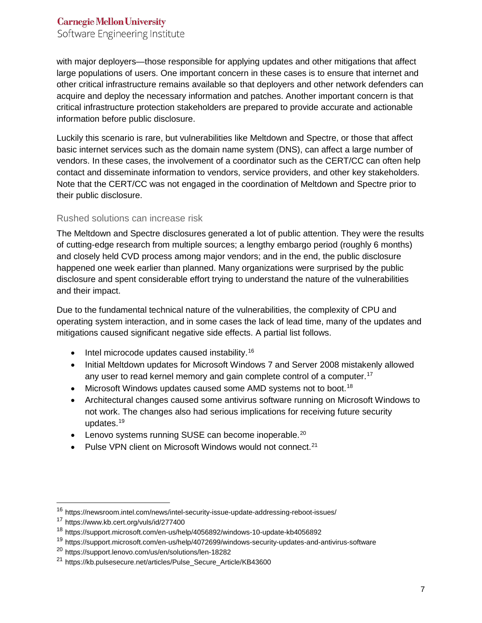Software Engineering Institute

with major deployers—those responsible for applying updates and other mitigations that affect large populations of users. One important concern in these cases is to ensure that internet and other critical infrastructure remains available so that deployers and other network defenders can acquire and deploy the necessary information and patches. Another important concern is that critical infrastructure protection stakeholders are prepared to provide accurate and actionable information before public disclosure.

Luckily this scenario is rare, but vulnerabilities like Meltdown and Spectre, or those that affect basic internet services such as the domain name system (DNS), can affect a large number of vendors. In these cases, the involvement of a coordinator such as the CERT/CC can often help contact and disseminate information to vendors, service providers, and other key stakeholders. Note that the CERT/CC was not engaged in the coordination of Meltdown and Spectre prior to their public disclosure.

#### Rushed solutions can increase risk

The Meltdown and Spectre disclosures generated a lot of public attention. They were the results of cutting-edge research from multiple sources; a lengthy embargo period (roughly 6 months) and closely held CVD process among major vendors; and in the end, the public disclosure happened one week earlier than planned. Many organizations were surprised by the public disclosure and spent considerable effort trying to understand the nature of the vulnerabilities and their impact.

Due to the fundamental technical nature of the vulnerabilities, the complexity of CPU and operating system interaction, and in some cases the lack of lead time, many of the updates and mitigations caused significant negative side effects. A partial list follows.

- Intel microcode updates caused instability.<sup>[16](#page-6-0)</sup>
- Initial Meltdown updates for Microsoft Windows 7 and Server 2008 mistakenly allowed any user to read kernel memory and gain complete control of a computer.<sup>[17](#page-6-1)</sup>
- Microsoft Windows updates caused some AMD systems not to boot.<sup>[18](#page-6-2)</sup>
- Architectural changes caused some antivirus software running on Microsoft Windows to not work. The changes also had serious implications for receiving future security updates. [19](#page-6-3)
- Lenovo systems running SUSE can become inoperable.<sup>[20](#page-6-4)</sup>
- Pulse VPN client on Microsoft Windows would not connect.<sup>[21](#page-6-5)</sup>

<span id="page-6-0"></span> <sup>16</sup> https://newsroom.intel.com/news/intel-security-issue-update-addressing-reboot-issues/

<span id="page-6-1"></span><sup>17</sup> https://www.kb.cert.org/vuls/id/277400

<span id="page-6-2"></span><sup>18</sup> https://support.microsoft.com/en-us/help/4056892/windows-10-update-kb4056892

<span id="page-6-3"></span><sup>19</sup> https://support.microsoft.com/en-us/help/4072699/windows-security-updates-and-antivirus-software

<span id="page-6-4"></span><sup>20</sup> https://support.lenovo.com/us/en/solutions/len-18282

<span id="page-6-5"></span><sup>21</sup> https://kb.pulsesecure.net/articles/Pulse\_Secure\_Article/KB43600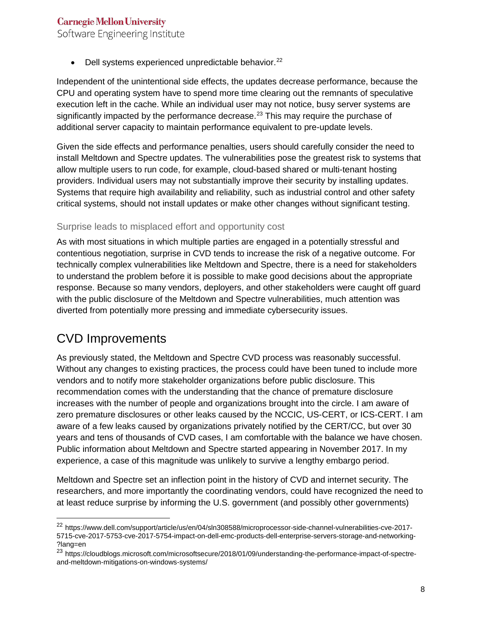Software Engineering Institute

• Dell systems experienced unpredictable behavior.<sup>[22](#page-7-0)</sup>

Independent of the unintentional side effects, the updates decrease performance, because the CPU and operating system have to spend more time clearing out the remnants of speculative execution left in the cache. While an individual user may not notice, busy server systems are significantly impacted by the performance decrease.<sup>[23](#page-7-1)</sup> This may require the purchase of additional server capacity to maintain performance equivalent to pre-update levels.

Given the side effects and performance penalties, users should carefully consider the need to install Meltdown and Spectre updates. The vulnerabilities pose the greatest risk to systems that allow multiple users to run code, for example, cloud-based shared or multi-tenant hosting providers. Individual users may not substantially improve their security by installing updates. Systems that require high availability and reliability, such as industrial control and other safety critical systems, should not install updates or make other changes without significant testing.

#### Surprise leads to misplaced effort and opportunity cost

As with most situations in which multiple parties are engaged in a potentially stressful and contentious negotiation, surprise in CVD tends to increase the risk of a negative outcome. For technically complex vulnerabilities like Meltdown and Spectre, there is a need for stakeholders to understand the problem before it is possible to make good decisions about the appropriate response. Because so many vendors, deployers, and other stakeholders were caught off guard with the public disclosure of the Meltdown and Spectre vulnerabilities, much attention was diverted from potentially more pressing and immediate cybersecurity issues.

# CVD Improvements

As previously stated, the Meltdown and Spectre CVD process was reasonably successful. Without any changes to existing practices, the process could have been tuned to include more vendors and to notify more stakeholder organizations before public disclosure. This recommendation comes with the understanding that the chance of premature disclosure increases with the number of people and organizations brought into the circle. I am aware of zero premature disclosures or other leaks caused by the NCCIC, US-CERT, or ICS-CERT. I am aware of a few leaks caused by organizations privately notified by the CERT/CC, but over 30 years and tens of thousands of CVD cases, I am comfortable with the balance we have chosen. Public information about Meltdown and Spectre started appearing in November 2017. In my experience, a case of this magnitude was unlikely to survive a lengthy embargo period.

Meltdown and Spectre set an inflection point in the history of CVD and internet security. The researchers, and more importantly the coordinating vendors, could have recognized the need to at least reduce surprise by informing the U.S. government (and possibly other governments)

<span id="page-7-0"></span><sup>&</sup>lt;sup>22</sup> https://www.dell.com/support/article/us/en/04/sln308588/microprocessor-side-channel-vulnerabilities-cve-2017-5715-cve-2017-5753-cve-2017-5754-impact-on-dell-emc-products-dell-enterprise-servers-storage-and-networking- ?lang=en

<span id="page-7-1"></span><sup>&</sup>lt;sup>23</sup> https://cloudblogs.microsoft.com/microsoftsecure/2018/01/09/understanding-the-performance-impact-of-spectreand-meltdown-mitigations-on-windows-systems/